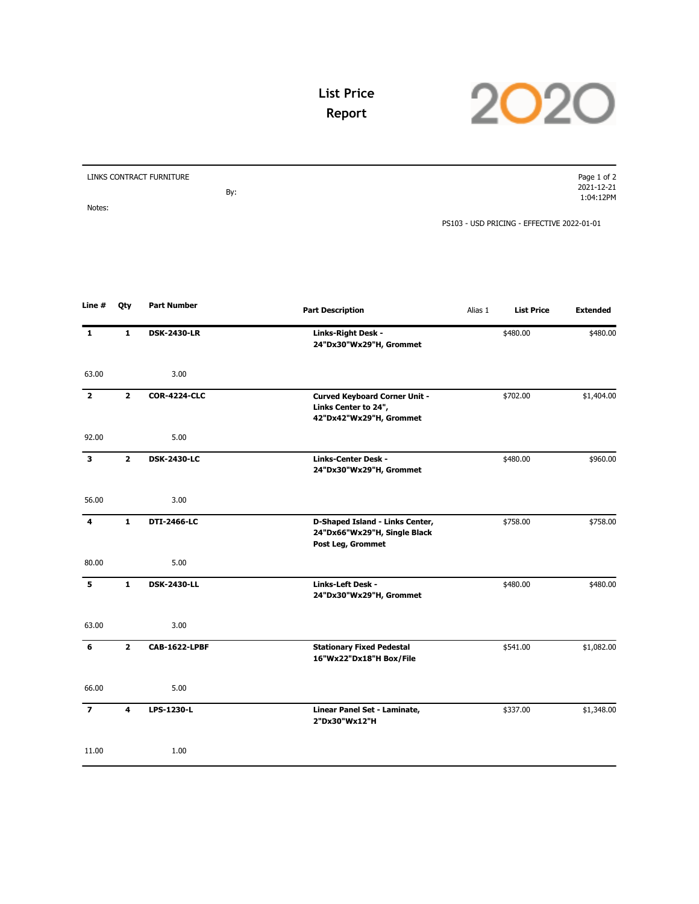

## **List Price Report**

| LINKS CONTRACT FURNITURE |     | Page 1 of 2                                |
|--------------------------|-----|--------------------------------------------|
|                          |     | 2021-12-21                                 |
|                          | By: | 1:04:12PM                                  |
| Notes:                   |     |                                            |
|                          |     | PS103 - USD PRICING - EFFECTIVE 2022-01-01 |

| Line #         | Qty            | <b>Part Number</b>   | <b>Part Description</b>                                                                 | Alias 1 | <b>List Price</b> | <b>Extended</b> |
|----------------|----------------|----------------------|-----------------------------------------------------------------------------------------|---------|-------------------|-----------------|
| $\mathbf{1}$   | $\mathbf{1}$   | <b>DSK-2430-LR</b>   | Links-Right Desk -<br>24"Dx30"Wx29"H, Grommet                                           |         | \$480.00          | \$480.00        |
| 63.00          |                | 3.00                 |                                                                                         |         |                   |                 |
| 2              | $\mathbf{2}$   | <b>COR-4224-CLC</b>  | <b>Curved Keyboard Corner Unit -</b><br>Links Center to 24",<br>42"Dx42"Wx29"H, Grommet |         | \$702.00          | \$1,404.00      |
| 92.00          |                | 5.00                 |                                                                                         |         |                   |                 |
| 3              | $\overline{2}$ | <b>DSK-2430-LC</b>   | <b>Links-Center Desk -</b><br>24"Dx30"Wx29"H, Grommet                                   |         | \$480.00          | \$960.00        |
| 56.00          |                | 3.00                 |                                                                                         |         |                   |                 |
| 4              | $\mathbf{1}$   | DTI-2466-LC          | D-Shaped Island - Links Center,<br>24"Dx66"Wx29"H, Single Black<br>Post Leg, Grommet    |         | \$758.00          | \$758.00        |
| 80.00          |                | 5.00                 |                                                                                         |         |                   |                 |
| 5              | $\mathbf{1}$   | <b>DSK-2430-LL</b>   | Links-Left Desk -<br>24"Dx30"Wx29"H, Grommet                                            |         | \$480.00          | \$480.00        |
| 63.00          |                | 3.00                 |                                                                                         |         |                   |                 |
| 6              | $\overline{2}$ | <b>CAB-1622-LPBF</b> | <b>Stationary Fixed Pedestal</b><br>16"Wx22"Dx18"H Box/File                             |         | \$541.00          | \$1,082.00      |
| 66.00          |                | 5.00                 |                                                                                         |         |                   |                 |
| $\overline{z}$ | 4              | LPS-1230-L           | Linear Panel Set - Laminate,<br>2"Dx30"Wx12"H                                           |         | \$337.00          | \$1,348.00      |
| 11.00          |                | 1.00                 |                                                                                         |         |                   |                 |